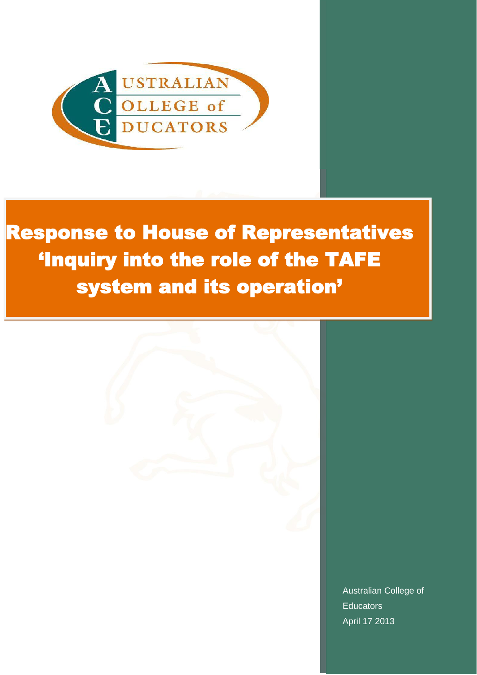

# Response to House of Representatives 'Inquiry into the role of the TAFE system and its operation'



Australian College of **Educators** April 17 2013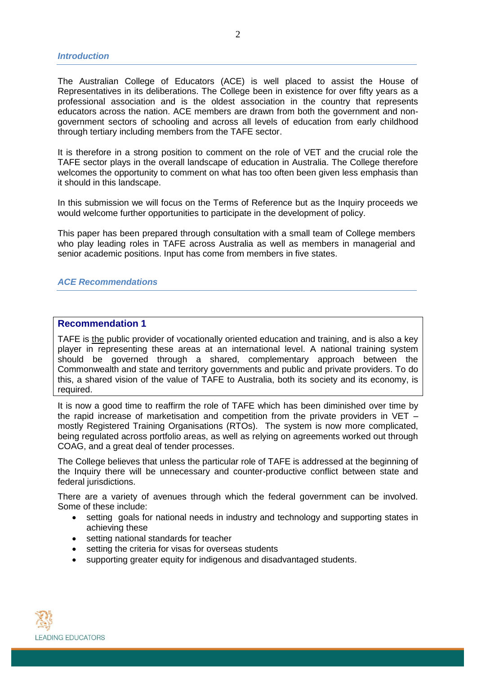The Australian College of Educators (ACE) is well placed to assist the House of Representatives in its deliberations. The College been in existence for over fifty years as a professional association and is the oldest association in the country that represents educators across the nation. ACE members are drawn from both the government and nongovernment sectors of schooling and across all levels of education from early childhood through tertiary including members from the TAFE sector.

It is therefore in a strong position to comment on the role of VET and the crucial role the TAFE sector plays in the overall landscape of education in Australia. The College therefore welcomes the opportunity to comment on what has too often been given less emphasis than it should in this landscape.

In this submission we will focus on the Terms of Reference but as the Inquiry proceeds we would welcome further opportunities to participate in the development of policy.

This paper has been prepared through consultation with a small team of College members who play leading roles in TAFE across Australia as well as members in managerial and senior academic positions. Input has come from members in five states.

## *ACE Recommendations*

#### **Recommendation 1**

TAFE is the public provider of vocationally oriented education and training, and is also a key player in representing these areas at an international level. A national training system should be governed through a shared, complementary approach between the Commonwealth and state and territory governments and public and private providers. To do this, a shared vision of the value of TAFE to Australia, both its society and its economy, is required.

It is now a good time to reaffirm the role of TAFE which has been diminished over time by the rapid increase of marketisation and competition from the private providers in VET  $$ mostly Registered Training Organisations (RTOs). The system is now more complicated, being regulated across portfolio areas, as well as relying on agreements worked out through COAG, and a great deal of tender processes.

The College believes that unless the particular role of TAFE is addressed at the beginning of the Inquiry there will be unnecessary and counter-productive conflict between state and federal jurisdictions.

There are a variety of avenues through which the federal government can be involved. Some of these include:

- setting goals for national needs in industry and technology and supporting states in achieving these
- setting national standards for teacher
- setting the criteria for visas for overseas students
- supporting greater equity for indigenous and disadvantaged students.

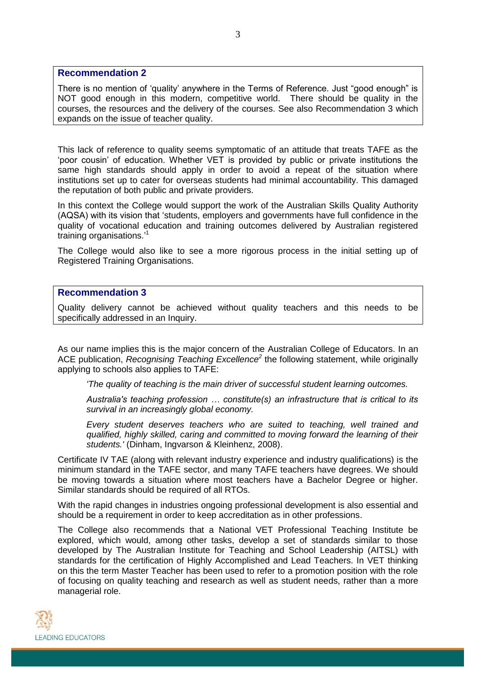## **Recommendation 2**

There is no mention of 'quality' anywhere in the Terms of Reference. Just "good enough" is NOT good enough in this modern, competitive world. There should be quality in the courses, the resources and the delivery of the courses. See also Recommendation 3 which expands on the issue of teacher quality.

This lack of reference to quality seems symptomatic of an attitude that treats TAFE as the 'poor cousin' of education. Whether VET is provided by public or private institutions the same high standards should apply in order to avoid a repeat of the situation where institutions set up to cater for overseas students had minimal accountability. This damaged the reputation of both public and private providers.

In this context the College would support the work of the Australian Skills Quality Authority (AQSA) with its vision that 'students, employers and governments have full confidence in the quality of vocational education and training outcomes delivered by Australian registered training organisations.' 1

The College would also like to see a more rigorous process in the initial setting up of Registered Training Organisations.

# **Recommendation 3**

Quality delivery cannot be achieved without quality teachers and this needs to be specifically addressed in an Inquiry.

As our name implies this is the major concern of the Australian College of Educators. In an ACE publication, *Recognising Teaching Excellence<sup>2</sup>* the following statement, while originally applying to schools also applies to TAFE:

*'The quality of teaching is the main driver of successful student learning outcomes.*

*Australia's teaching profession … constitute(s) an infrastructure that is critical to its survival in an increasingly global economy.*

*Every student deserves teachers who are suited to teaching, well trained and qualified, highly skilled, caring and committed to moving forward the learning of their students.'* (Dinham, Ingvarson & Kleinhenz, 2008).

Certificate IV TAE (along with relevant industry experience and industry qualifications) is the minimum standard in the TAFE sector, and many TAFE teachers have degrees. We should be moving towards a situation where most teachers have a Bachelor Degree or higher. Similar standards should be required of all RTOs.

With the rapid changes in industries ongoing professional development is also essential and should be a requirement in order to keep accreditation as in other professions.

The College also recommends that a National VET Professional Teaching Institute be explored, which would, among other tasks, develop a set of standards similar to those developed by The Australian Institute for Teaching and School Leadership (AITSL) with standards for the certification of Highly Accomplished and Lead Teachers. In VET thinking on this the term Master Teacher has been used to refer to a promotion position with the role of focusing on quality teaching and research as well as student needs, rather than a more managerial role.

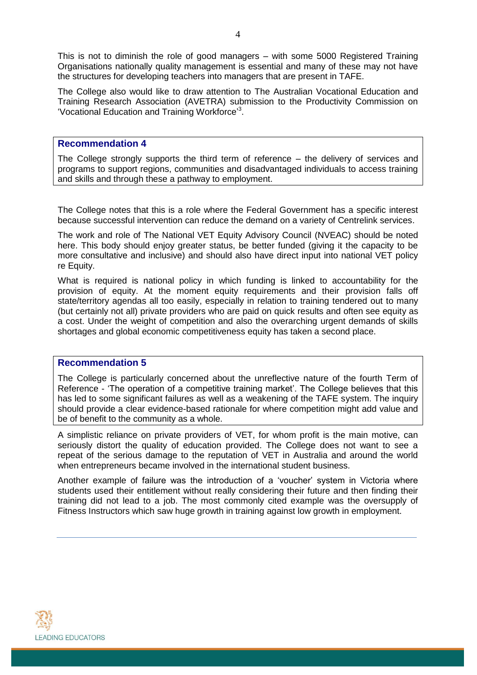This is not to diminish the role of good managers – with some 5000 Registered Training Organisations nationally quality management is essential and many of these may not have the structures for developing teachers into managers that are present in TAFE.

The College also would like to draw attention to The Australian Vocational Education and Training Research Association (AVETRA) submission to the Productivity Commission on 'Vocational Education and Training Workforce'<sup>3</sup>.

## **Recommendation 4**

The College strongly supports the third term of reference – the delivery of services and programs to support regions, communities and disadvantaged individuals to access training and skills and through these a pathway to employment.

The College notes that this is a role where the Federal Government has a specific interest because successful intervention can reduce the demand on a variety of Centrelink services.

The work and role of The National VET Equity Advisory Council (NVEAC) should be noted here. This body should enjoy greater status, be better funded (giving it the capacity to be more consultative and inclusive) and should also have direct input into national VET policy re Equity.

What is required is national policy in which funding is linked to accountability for the provision of equity. At the moment equity requirements and their provision falls off state/territory agendas all too easily, especially in relation to training tendered out to many (but certainly not all) private providers who are paid on quick results and often see equity as a cost. Under the weight of competition and also the overarching urgent demands of skills shortages and global economic competitiveness equity has taken a second place.

#### **Recommendation 5**

The College is particularly concerned about the unreflective nature of the fourth Term of Reference - 'The operation of a competitive training market'. The College believes that this has led to some significant failures as well as a weakening of the TAFE system. The inquiry should provide a clear evidence-based rationale for where competition might add value and be of benefit to the community as a whole.

A simplistic reliance on private providers of VET, for whom profit is the main motive, can seriously distort the quality of education provided. The College does not want to see a repeat of the serious damage to the reputation of VET in Australia and around the world when entrepreneurs became involved in the international student business.

Another example of failure was the introduction of a 'voucher' system in Victoria where students used their entitlement without really considering their future and then finding their training did not lead to a job. The most commonly cited example was the oversupply of Fitness Instructors which saw huge growth in training against low growth in employment.